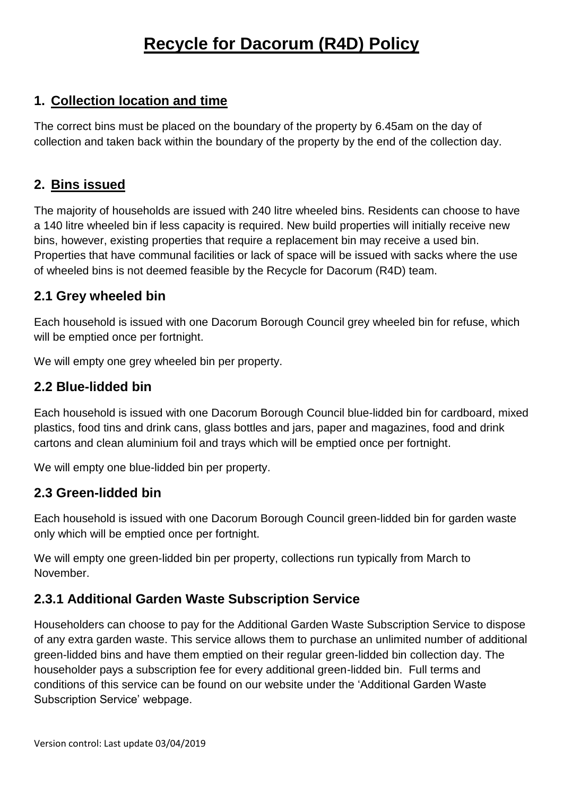# **Recycle for Dacorum (R4D) Policy**

## **1. Collection location and time**

The correct bins must be placed on the boundary of the property by 6.45am on the day of collection and taken back within the boundary of the property by the end of the collection day.

## **2. Bins issued**

The majority of households are issued with 240 litre wheeled bins. Residents can choose to have a 140 litre wheeled bin if less capacity is required. New build properties will initially receive new bins, however, existing properties that require a replacement bin may receive a used bin. Properties that have communal facilities or lack of space will be issued with sacks where the use of wheeled bins is not deemed feasible by the Recycle for Dacorum (R4D) team.

#### **2.1 Grey wheeled bin**

Each household is issued with one Dacorum Borough Council grey wheeled bin for refuse, which will be emptied once per fortnight.

We will empty one grey wheeled bin per property.

#### **2.2 Blue-lidded bin**

Each household is issued with one Dacorum Borough Council blue-lidded bin for cardboard, mixed plastics, food tins and drink cans, glass bottles and jars, paper and magazines, food and drink cartons and clean aluminium foil and trays which will be emptied once per fortnight.

We will empty one blue-lidded bin per property.

## **2.3 Green-lidded bin**

Each household is issued with one Dacorum Borough Council green-lidded bin for garden waste only which will be emptied once per fortnight.

We will empty one green-lidded bin per property, collections run typically from March to November.

## **2.3.1 Additional Garden Waste Subscription Service**

Householders can choose to pay for the Additional Garden Waste Subscription Service to dispose of any extra garden waste. This service allows them to purchase an unlimited number of additional green-lidded bins and have them emptied on their regular green-lidded bin collection day. The householder pays a subscription fee for every additional green-lidded bin. Full terms and conditions of this service can be found on our website under the 'Additional Garden Waste Subscription Service' webpage.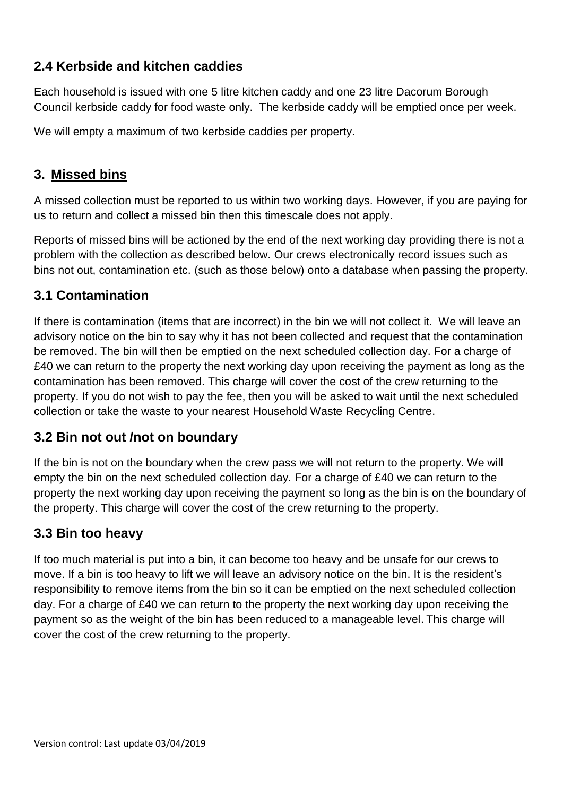# **2.4 Kerbside and kitchen caddies**

Each household is issued with one 5 litre kitchen caddy and one 23 litre Dacorum Borough Council kerbside caddy for food waste only. The kerbside caddy will be emptied once per week.

We will empty a maximum of two kerbside caddies per property.

## **3. Missed bins**

A missed collection must be reported to us within two working days. However, if you are paying for us to return and collect a missed bin then this timescale does not apply.

Reports of missed bins will be actioned by the end of the next working day providing there is not a problem with the collection as described below. Our crews electronically record issues such as bins not out, contamination etc. (such as those below) onto a database when passing the property.

## **3.1 Contamination**

If there is contamination (items that are incorrect) in the bin we will not collect it. We will leave an advisory notice on the bin to say why it has not been collected and request that the contamination be removed. The bin will then be emptied on the next scheduled collection day. For a charge of £40 we can return to the property the next working day upon receiving the payment as long as the contamination has been removed. This charge will cover the cost of the crew returning to the property. If you do not wish to pay the fee, then you will be asked to wait until the next scheduled collection or take the waste to your nearest Household Waste Recycling Centre.

## **3.2 Bin not out /not on boundary**

If the bin is not on the boundary when the crew pass we will not return to the property. We will empty the bin on the next scheduled collection day. For a charge of £40 we can return to the property the next working day upon receiving the payment so long as the bin is on the boundary of the property. This charge will cover the cost of the crew returning to the property.

# **3.3 Bin too heavy**

If too much material is put into a bin, it can become too heavy and be unsafe for our crews to move. If a bin is too heavy to lift we will leave an advisory notice on the bin. It is the resident's responsibility to remove items from the bin so it can be emptied on the next scheduled collection day. For a charge of £40 we can return to the property the next working day upon receiving the payment so as the weight of the bin has been reduced to a manageable level. This charge will cover the cost of the crew returning to the property.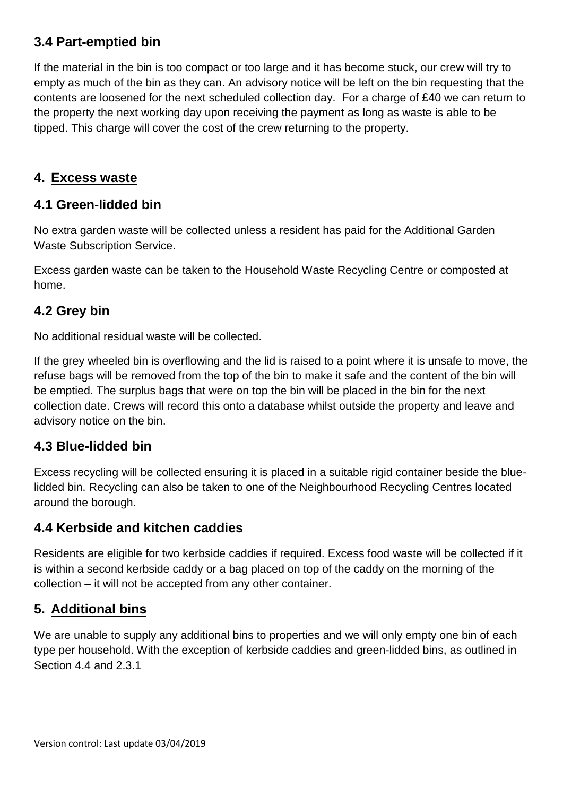# **3.4 Part-emptied bin**

If the material in the bin is too compact or too large and it has become stuck, our crew will try to empty as much of the bin as they can. An advisory notice will be left on the bin requesting that the contents are loosened for the next scheduled collection day. For a charge of £40 we can return to the property the next working day upon receiving the payment as long as waste is able to be tipped. This charge will cover the cost of the crew returning to the property.

#### **4. Excess waste**

#### **4.1 Green-lidded bin**

No extra garden waste will be collected unless a resident has paid for the Additional Garden Waste Subscription Service.

Excess garden waste can be taken to the Household Waste Recycling Centre or composted at home.

#### **4.2 Grey bin**

No additional residual waste will be collected.

If the grey wheeled bin is overflowing and the lid is raised to a point where it is unsafe to move, the refuse bags will be removed from the top of the bin to make it safe and the content of the bin will be emptied. The surplus bags that were on top the bin will be placed in the bin for the next collection date. Crews will record this onto a database whilst outside the property and leave and advisory notice on the bin.

#### **4.3 Blue-lidded bin**

Excess recycling will be collected ensuring it is placed in a suitable rigid container beside the bluelidded bin. Recycling can also be taken to one of the Neighbourhood Recycling Centres located around the borough.

## **4.4 Kerbside and kitchen caddies**

Residents are eligible for two kerbside caddies if required. Excess food waste will be collected if it is within a second kerbside caddy or a bag placed on top of the caddy on the morning of the collection – it will not be accepted from any other container.

## **5. Additional bins**

We are unable to supply any additional bins to properties and we will only empty one bin of each type per household. With the exception of kerbside caddies and green-lidded bins, as outlined in Section 4.4 and 2.3.1